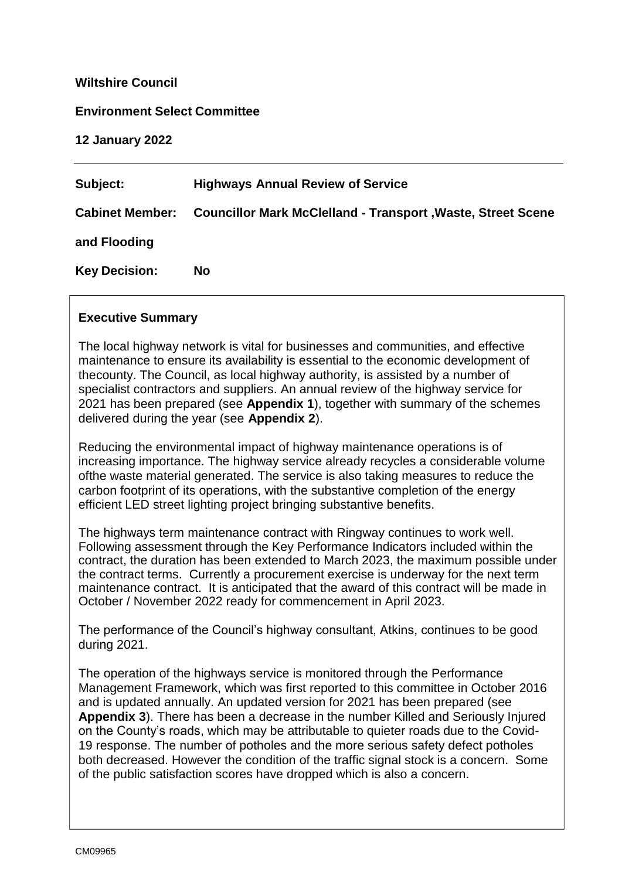#### **Wiltshire Council**

#### **Environment Select Committee**

**12 January 2022**

| Subject:             | <b>Highways Annual Review of Service</b>                                    |
|----------------------|-----------------------------------------------------------------------------|
|                      | Cabinet Member: Councillor Mark McClelland - Transport, Waste, Street Scene |
| and Flooding         |                                                                             |
| <b>Key Decision:</b> | <b>No</b>                                                                   |

#### **Executive Summary**

The local highway network is vital for businesses and communities, and effective maintenance to ensure its availability is essential to the economic development of thecounty. The Council, as local highway authority, is assisted by a number of specialist contractors and suppliers. An annual review of the highway service for 2021 has been prepared (see **Appendix 1**), together with summary of the schemes delivered during the year (see **Appendix 2**).

Reducing the environmental impact of highway maintenance operations is of increasing importance. The highway service already recycles a considerable volume ofthe waste material generated. The service is also taking measures to reduce the carbon footprint of its operations, with the substantive completion of the energy efficient LED street lighting project bringing substantive benefits.

The highways term maintenance contract with Ringway continues to work well. Following assessment through the Key Performance Indicators included within the contract, the duration has been extended to March 2023, the maximum possible under the contract terms. Currently a procurement exercise is underway for the next term maintenance contract. It is anticipated that the award of this contract will be made in October / November 2022 ready for commencement in April 2023.

The performance of the Council's highway consultant, Atkins, continues to be good during 2021.

The operation of the highways service is monitored through the Performance Management Framework, which was first reported to this committee in October 2016 and is updated annually. An updated version for 2021 has been prepared (see **Appendix 3**). There has been a decrease in the number Killed and Seriously Injured on the County's roads, which may be attributable to quieter roads due to the Covid-19 response. The number of potholes and the more serious safety defect potholes both decreased. However the condition of the traffic signal stock is a concern. Some of the public satisfaction scores have dropped which is also a concern.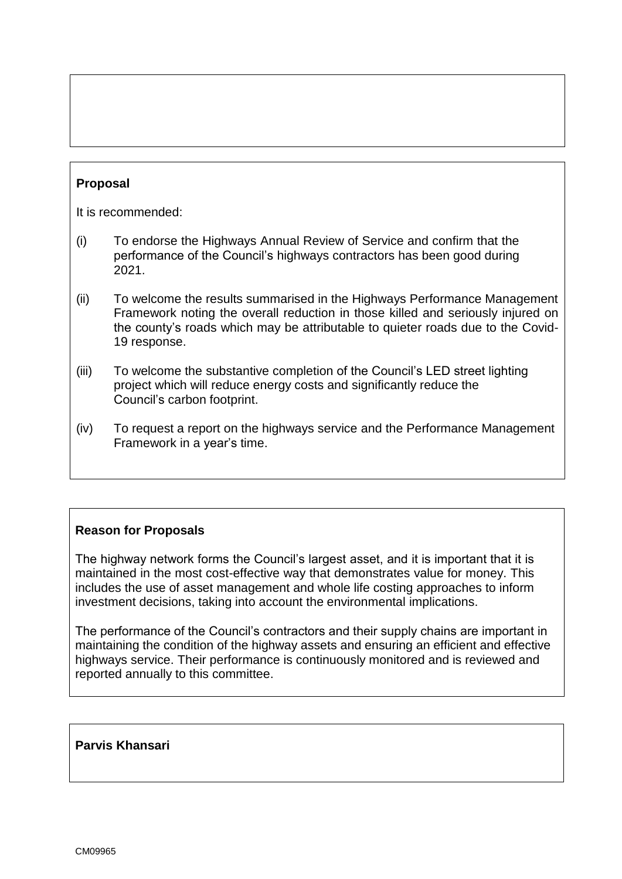# **Proposal**

It is recommended:

- (i) To endorse the Highways Annual Review of Service and confirm that the performance of the Council's highways contractors has been good during 2021.
- (ii) To welcome the results summarised in the Highways Performance Management Framework noting the overall reduction in those killed and seriously injured on the county's roads which may be attributable to quieter roads due to the Covid-19 response.
- (iii) To welcome the substantive completion of the Council's LED street lighting project which will reduce energy costs and significantly reduce the Council's carbon footprint.
- (iv) To request a report on the highways service and the Performance Management Framework in a year's time.

### **Reason for Proposals**

The highway network forms the Council's largest asset, and it is important that it is maintained in the most cost-effective way that demonstrates value for money. This includes the use of asset management and whole life costing approaches to inform investment decisions, taking into account the environmental implications.

The performance of the Council's contractors and their supply chains are important in maintaining the condition of the highway assets and ensuring an efficient and effective highways service. Their performance is continuously monitored and is reviewed and reported annually to this committee.

#### **Parvis Khansari**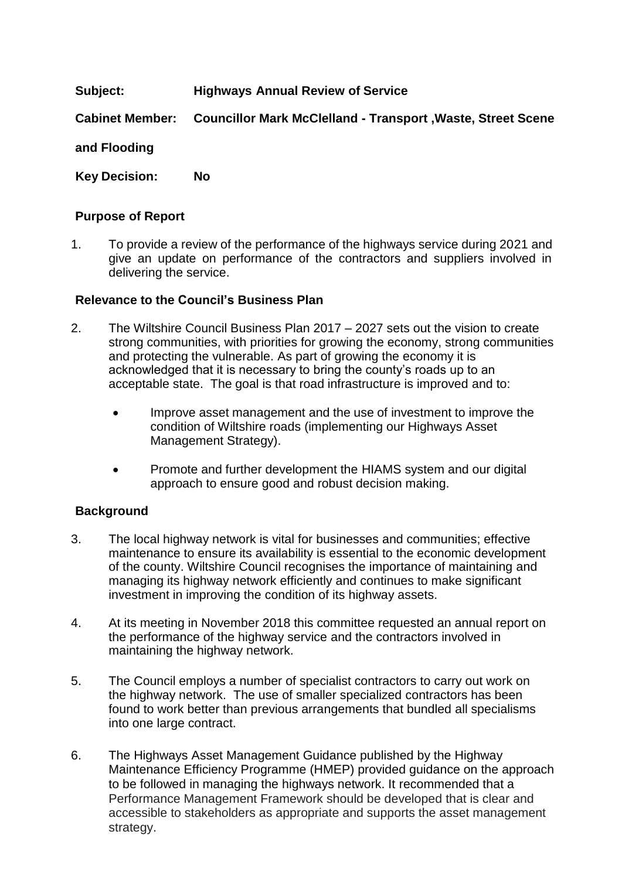# **Subject: Highways Annual Review of Service**

**Cabinet Member: Councillor Mark McClelland - Transport ,Waste, Street Scene** 

**and Flooding**

**Key Decision: No**

## **Purpose of Report**

1. To provide a review of the performance of the highways service during 2021 and give an update on performance of the contractors and suppliers involved in delivering the service.

## **Relevance to the Council's Business Plan**

- 2. The Wiltshire Council Business Plan 2017 2027 sets out the vision to create strong communities, with priorities for growing the economy, strong communities and protecting the vulnerable. As part of growing the economy it is acknowledged that it is necessary to bring the county's roads up to an acceptable state. The goal is that road infrastructure is improved and to:
	- Improve asset management and the use of investment to improve the condition of Wiltshire roads (implementing our Highways Asset Management Strategy).
	- Promote and further development the HIAMS system and our digital approach to ensure good and robust decision making.

# **Background**

- 3. The local highway network is vital for businesses and communities; effective maintenance to ensure its availability is essential to the economic development of the county. Wiltshire Council recognises the importance of maintaining and managing its highway network efficiently and continues to make significant investment in improving the condition of its highway assets.
- 4. At its meeting in November 2018 this committee requested an annual report on the performance of the highway service and the contractors involved in maintaining the highway network.
- 5. The Council employs a number of specialist contractors to carry out work on the highway network. The use of smaller specialized contractors has been found to work better than previous arrangements that bundled all specialisms into one large contract.
- 6. The Highways Asset Management Guidance published by the Highway Maintenance Efficiency Programme (HMEP) provided guidance on the approach to be followed in managing the highways network. It recommended that a Performance Management Framework should be developed that is clear and accessible to stakeholders as appropriate and supports the asset management strategy.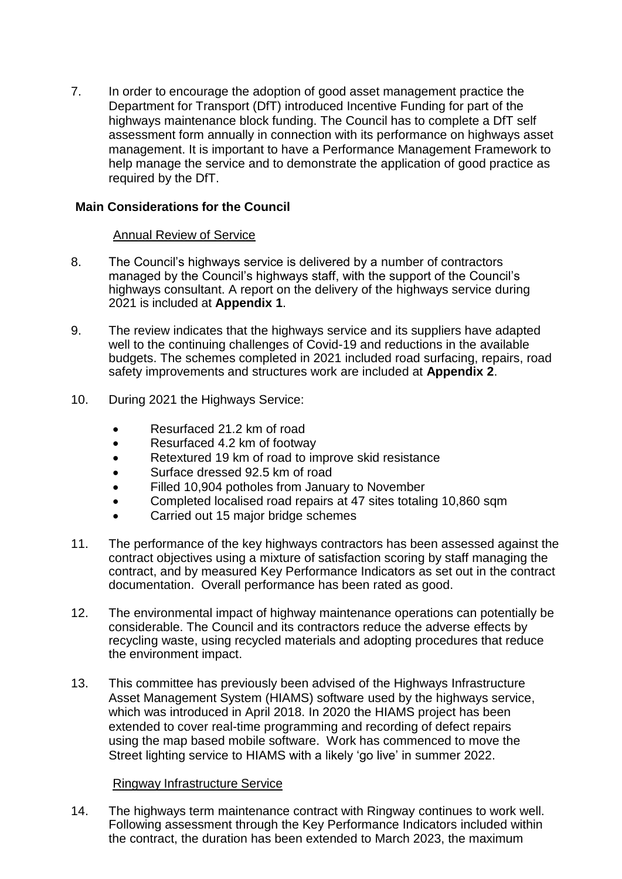7. In order to encourage the adoption of good asset management practice the Department for Transport (DfT) introduced Incentive Funding for part of the highways maintenance block funding. The Council has to complete a DfT self assessment form annually in connection with its performance on highways asset management. It is important to have a Performance Management Framework to help manage the service and to demonstrate the application of good practice as required by the DfT.

### **Main Considerations for the Council**

### Annual Review of Service

- 8. The Council's highways service is delivered by a number of contractors managed by the Council's highways staff, with the support of the Council's highways consultant. A report on the delivery of the highways service during 2021 is included at **Appendix 1**.
- 9. The review indicates that the highways service and its suppliers have adapted well to the continuing challenges of Covid-19 and reductions in the available budgets. The schemes completed in 2021 included road surfacing, repairs, road safety improvements and structures work are included at **Appendix 2**.
- 10. During 2021 the Highways Service:
	- Resurfaced 21.2 km of road
	- Resurfaced 4.2 km of footway
	- Retextured 19 km of road to improve skid resistance
	- Surface dressed 92.5 km of road
	- Filled 10,904 potholes from January to November
	- Completed localised road repairs at 47 sites totaling 10,860 sqm
	- Carried out 15 major bridge schemes
- 11. The performance of the key highways contractors has been assessed against the contract objectives using a mixture of satisfaction scoring by staff managing the contract, and by measured Key Performance Indicators as set out in the contract documentation. Overall performance has been rated as good.
- 12. The environmental impact of highway maintenance operations can potentially be considerable. The Council and its contractors reduce the adverse effects by recycling waste, using recycled materials and adopting procedures that reduce the environment impact.
- 13. This committee has previously been advised of the Highways Infrastructure Asset Management System (HIAMS) software used by the highways service, which was introduced in April 2018. In 2020 the HIAMS project has been extended to cover real-time programming and recording of defect repairs using the map based mobile software. Work has commenced to move the Street lighting service to HIAMS with a likely 'go live' in summer 2022.

### Ringway Infrastructure Service

14. The highways term maintenance contract with Ringway continues to work well. Following assessment through the Key Performance Indicators included within the contract, the duration has been extended to March 2023, the maximum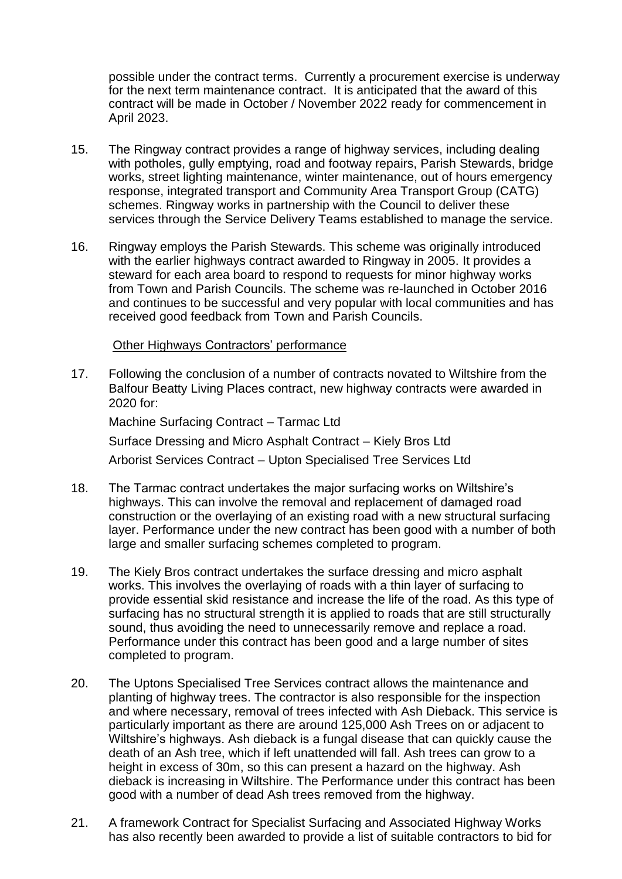possible under the contract terms. Currently a procurement exercise is underway for the next term maintenance contract. It is anticipated that the award of this contract will be made in October / November 2022 ready for commencement in April 2023.

- 15. The Ringway contract provides a range of highway services, including dealing with potholes, gully emptying, road and footway repairs, Parish Stewards, bridge works, street lighting maintenance, winter maintenance, out of hours emergency response, integrated transport and Community Area Transport Group (CATG) schemes. Ringway works in partnership with the Council to deliver these services through the Service Delivery Teams established to manage the service.
- 16. Ringway employs the Parish Stewards. This scheme was originally introduced with the earlier highways contract awarded to Ringway in 2005. It provides a steward for each area board to respond to requests for minor highway works from Town and Parish Councils. The scheme was re-launched in October 2016 and continues to be successful and very popular with local communities and has received good feedback from Town and Parish Councils.

#### Other Highways Contractors' performance

17. Following the conclusion of a number of contracts novated to Wiltshire from the Balfour Beatty Living Places contract, new highway contracts were awarded in 2020 for:

Machine Surfacing Contract – Tarmac Ltd Surface Dressing and Micro Asphalt Contract – Kiely Bros Ltd Arborist Services Contract – Upton Specialised Tree Services Ltd

- 18. The Tarmac contract undertakes the major surfacing works on Wiltshire's highways. This can involve the removal and replacement of damaged road construction or the overlaying of an existing road with a new structural surfacing layer. Performance under the new contract has been good with a number of both large and smaller surfacing schemes completed to program.
- 19. The Kiely Bros contract undertakes the surface dressing and micro asphalt works. This involves the overlaying of roads with a thin layer of surfacing to provide essential skid resistance and increase the life of the road. As this type of surfacing has no structural strength it is applied to roads that are still structurally sound, thus avoiding the need to unnecessarily remove and replace a road. Performance under this contract has been good and a large number of sites completed to program.
- 20. The Uptons Specialised Tree Services contract allows the maintenance and planting of highway trees. The contractor is also responsible for the inspection and where necessary, removal of trees infected with Ash Dieback. This service is particularly important as there are around 125,000 Ash Trees on or adjacent to Wiltshire's highways. Ash dieback is a fungal disease that can quickly cause the death of an Ash tree, which if left unattended will fall. Ash trees can grow to a height in excess of 30m, so this can present a hazard on the highway. Ash dieback is increasing in Wiltshire. The Performance under this contract has been good with a number of dead Ash trees removed from the highway.
- 21. A framework Contract for Specialist Surfacing and Associated Highway Works has also recently been awarded to provide a list of suitable contractors to bid for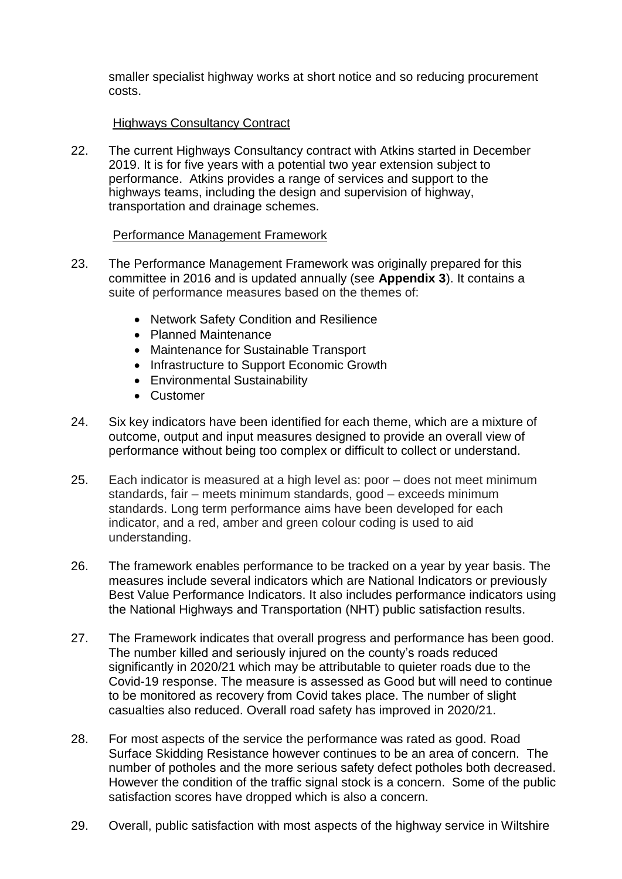smaller specialist highway works at short notice and so reducing procurement costs.

## Highways Consultancy Contract

22. The current Highways Consultancy contract with Atkins started in December 2019. It is for five years with a potential two year extension subject to performance. Atkins provides a range of services and support to the highways teams, including the design and supervision of highway, transportation and drainage schemes.

### Performance Management Framework

- 23. The Performance Management Framework was originally prepared for this committee in 2016 and is updated annually (see **Appendix 3**). It contains a suite of performance measures based on the themes of:
	- Network Safety Condition and Resilience
	- Planned Maintenance
	- Maintenance for Sustainable Transport
	- Infrastructure to Support Economic Growth
	- Environmental Sustainability
	- Customer
- 24. Six key indicators have been identified for each theme, which are a mixture of outcome, output and input measures designed to provide an overall view of performance without being too complex or difficult to collect or understand.
- 25. Each indicator is measured at a high level as: poor does not meet minimum standards, fair – meets minimum standards, good – exceeds minimum standards. Long term performance aims have been developed for each indicator, and a red, amber and green colour coding is used to aid understanding.
- 26. The framework enables performance to be tracked on a year by year basis. The measures include several indicators which are National Indicators or previously Best Value Performance Indicators. It also includes performance indicators using the National Highways and Transportation (NHT) public satisfaction results.
- 27. The Framework indicates that overall progress and performance has been good. The number killed and seriously injured on the county's roads reduced significantly in 2020/21 which may be attributable to quieter roads due to the Covid-19 response. The measure is assessed as Good but will need to continue to be monitored as recovery from Covid takes place. The number of slight casualties also reduced. Overall road safety has improved in 2020/21.
- 28. For most aspects of the service the performance was rated as good. Road Surface Skidding Resistance however continues to be an area of concern. The number of potholes and the more serious safety defect potholes both decreased. However the condition of the traffic signal stock is a concern. Some of the public satisfaction scores have dropped which is also a concern.
- 29. Overall, public satisfaction with most aspects of the highway service in Wiltshire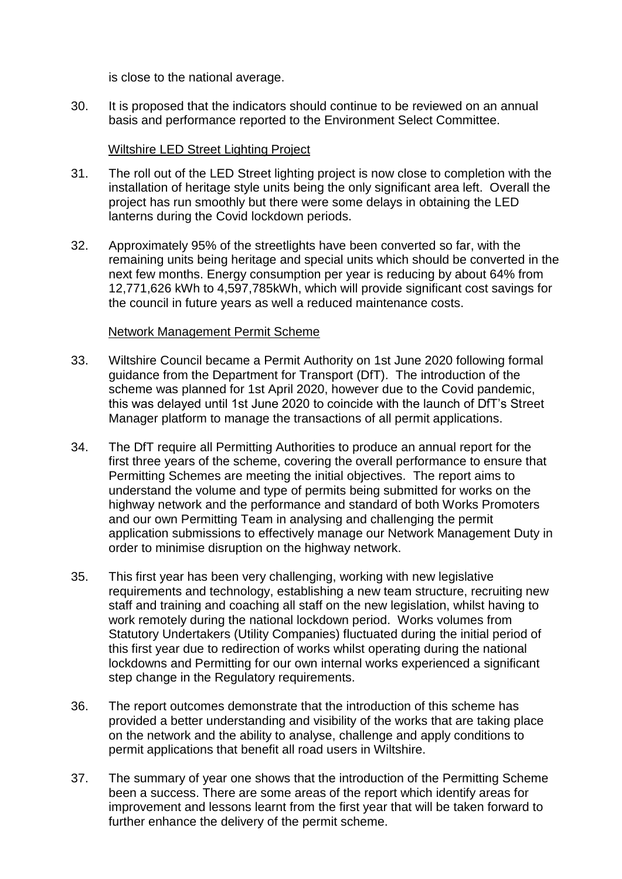is close to the national average.

30. It is proposed that the indicators should continue to be reviewed on an annual basis and performance reported to the Environment Select Committee.

#### Wiltshire LED Street Lighting Project

- 31. The roll out of the LED Street lighting project is now close to completion with the installation of heritage style units being the only significant area left. Overall the project has run smoothly but there were some delays in obtaining the LED lanterns during the Covid lockdown periods.
- 32. Approximately 95% of the streetlights have been converted so far, with the remaining units being heritage and special units which should be converted in the next few months. Energy consumption per year is reducing by about 64% from 12,771,626 kWh to 4,597,785kWh, which will provide significant cost savings for the council in future years as well a reduced maintenance costs.

#### Network Management Permit Scheme

- 33. Wiltshire Council became a Permit Authority on 1st June 2020 following formal guidance from the Department for Transport (DfT). The introduction of the scheme was planned for 1st April 2020, however due to the Covid pandemic, this was delayed until 1st June 2020 to coincide with the launch of DfT's Street Manager platform to manage the transactions of all permit applications.
- 34. The DfT require all Permitting Authorities to produce an annual report for the first three years of the scheme, covering the overall performance to ensure that Permitting Schemes are meeting the initial objectives. The report aims to understand the volume and type of permits being submitted for works on the highway network and the performance and standard of both Works Promoters and our own Permitting Team in analysing and challenging the permit application submissions to effectively manage our Network Management Duty in order to minimise disruption on the highway network.
- 35. This first year has been very challenging, working with new legislative requirements and technology, establishing a new team structure, recruiting new staff and training and coaching all staff on the new legislation, whilst having to work remotely during the national lockdown period. Works volumes from Statutory Undertakers (Utility Companies) fluctuated during the initial period of this first year due to redirection of works whilst operating during the national lockdowns and Permitting for our own internal works experienced a significant step change in the Regulatory requirements.
- 36. The report outcomes demonstrate that the introduction of this scheme has provided a better understanding and visibility of the works that are taking place on the network and the ability to analyse, challenge and apply conditions to permit applications that benefit all road users in Wiltshire.
- 37. The summary of year one shows that the introduction of the Permitting Scheme been a success. There are some areas of the report which identify areas for improvement and lessons learnt from the first year that will be taken forward to further enhance the delivery of the permit scheme.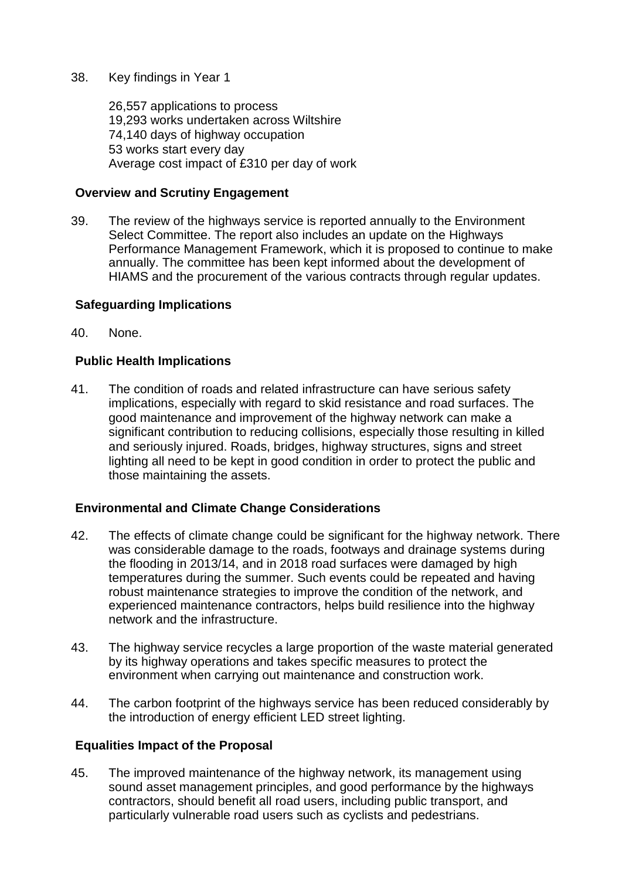### 38. Key findings in Year 1

26,557 applications to process 19,293 works undertaken across Wiltshire 74,140 days of highway occupation 53 works start every day Average cost impact of £310 per day of work

## **Overview and Scrutiny Engagement**

39. The review of the highways service is reported annually to the Environment Select Committee. The report also includes an update on the Highways Performance Management Framework, which it is proposed to continue to make annually. The committee has been kept informed about the development of HIAMS and the procurement of the various contracts through regular updates.

## **Safeguarding Implications**

40. None.

# **Public Health Implications**

41. The condition of roads and related infrastructure can have serious safety implications, especially with regard to skid resistance and road surfaces. The good maintenance and improvement of the highway network can make a significant contribution to reducing collisions, especially those resulting in killed and seriously injured. Roads, bridges, highway structures, signs and street lighting all need to be kept in good condition in order to protect the public and those maintaining the assets.

# **Environmental and Climate Change Considerations**

- 42. The effects of climate change could be significant for the highway network. There was considerable damage to the roads, footways and drainage systems during the flooding in 2013/14, and in 2018 road surfaces were damaged by high temperatures during the summer. Such events could be repeated and having robust maintenance strategies to improve the condition of the network, and experienced maintenance contractors, helps build resilience into the highway network and the infrastructure.
- 43. The highway service recycles a large proportion of the waste material generated by its highway operations and takes specific measures to protect the environment when carrying out maintenance and construction work.
- 44. The carbon footprint of the highways service has been reduced considerably by the introduction of energy efficient LED street lighting.

### **Equalities Impact of the Proposal**

45. The improved maintenance of the highway network, its management using sound asset management principles, and good performance by the highways contractors, should benefit all road users, including public transport, and particularly vulnerable road users such as cyclists and pedestrians.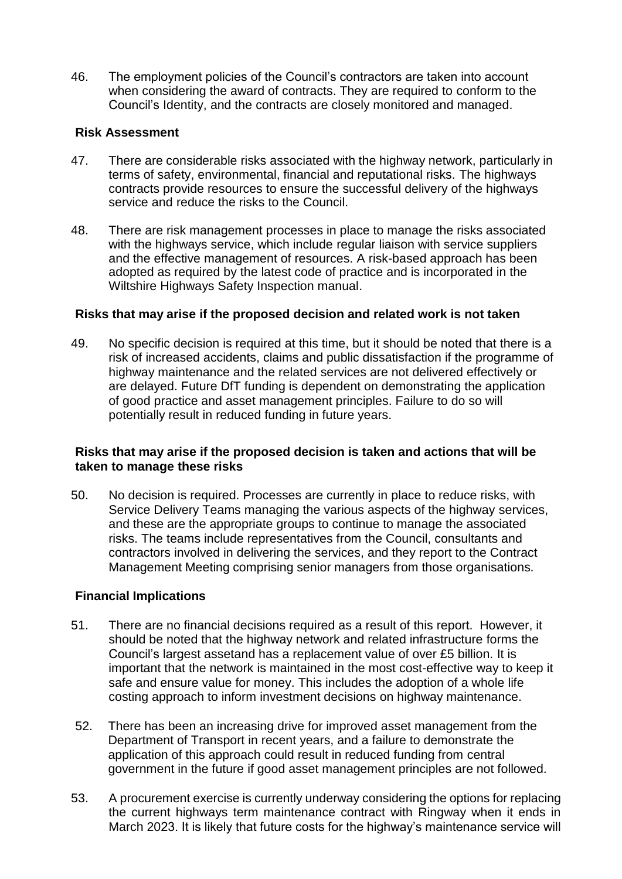46. The employment policies of the Council's contractors are taken into account when considering the award of contracts. They are required to conform to the Council's Identity, and the contracts are closely monitored and managed.

### **Risk Assessment**

- 47. There are considerable risks associated with the highway network, particularly in terms of safety, environmental, financial and reputational risks. The highways contracts provide resources to ensure the successful delivery of the highways service and reduce the risks to the Council.
- 48. There are risk management processes in place to manage the risks associated with the highways service, which include regular liaison with service suppliers and the effective management of resources. A risk-based approach has been adopted as required by the latest code of practice and is incorporated in the Wiltshire Highways Safety Inspection manual.

### **Risks that may arise if the proposed decision and related work is not taken**

49. No specific decision is required at this time, but it should be noted that there is a risk of increased accidents, claims and public dissatisfaction if the programme of highway maintenance and the related services are not delivered effectively or are delayed. Future DfT funding is dependent on demonstrating the application of good practice and asset management principles. Failure to do so will potentially result in reduced funding in future years.

## **Risks that may arise if the proposed decision is taken and actions that will be taken to manage these risks**

50. No decision is required. Processes are currently in place to reduce risks, with Service Delivery Teams managing the various aspects of the highway services, and these are the appropriate groups to continue to manage the associated risks. The teams include representatives from the Council, consultants and contractors involved in delivering the services, and they report to the Contract Management Meeting comprising senior managers from those organisations.

### **Financial Implications**

- 51. There are no financial decisions required as a result of this report. However, it should be noted that the highway network and related infrastructure forms the Council's largest assetand has a replacement value of over £5 billion. It is important that the network is maintained in the most cost-effective way to keep it safe and ensure value for money. This includes the adoption of a whole life costing approach to inform investment decisions on highway maintenance.
- 52. There has been an increasing drive for improved asset management from the Department of Transport in recent years, and a failure to demonstrate the application of this approach could result in reduced funding from central government in the future if good asset management principles are not followed.
- 53. A procurement exercise is currently underway considering the options for replacing the current highways term maintenance contract with Ringway when it ends in March 2023. It is likely that future costs for the highway's maintenance service will